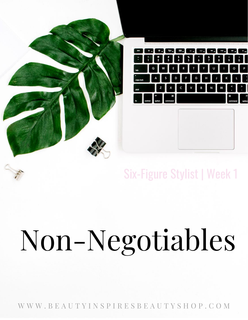

#### Six-Figure Stylist | Week 1

# Non-Negotiables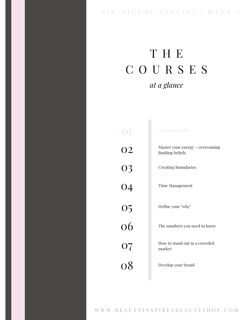#### SIX - FIGURE STYLIST | WEEK 1

### T H E C O U R S E S *at a glance*

| M                   | Non-negotiables                                     |
|---------------------|-----------------------------------------------------|
| <b>O2</b>           | Master your energy + overcoming<br>limiting beliefs |
| 03                  | <b>Creating Boundaries</b>                          |
| $\frac{1}{04}$      | Time Management                                     |
|                     | Define your "why"                                   |
| $\frac{05}{06}$     | The numbers you need to know                        |
| 07<br>$\mathcal{L}$ | How to stand out in a crowded<br>market             |
| $\Omega$            | Develop your brand                                  |
|                     |                                                     |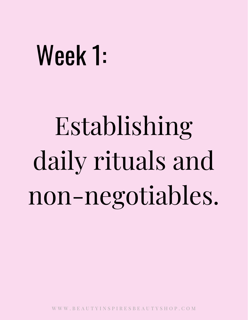## Week 1:

## Establishing daily rituals and non-negotiables.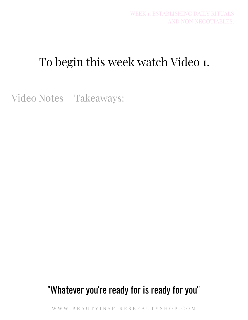### To begin this week watch Video 1.

Video Notes + Takeaways:

#### "Whatever you're ready for is ready for you"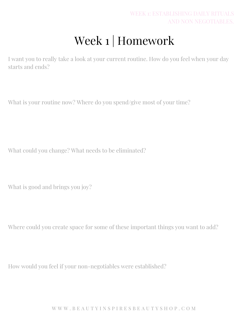## Week 1 | Homework

I want you to really take a look at your current routine. How do you feel when your day starts and ends?

What is your routine now? Where do you spend/give most of your time?

What could you change? What needs to be eliminated?

What is good and brings you joy?

Where could you create space for some of these important things you want to add?

How would you feel if your non-negotiables were established?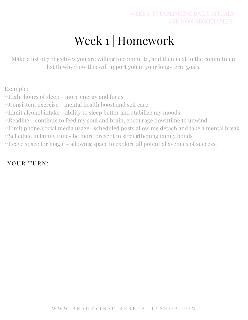## Week 1 | Homework

Make a list of 7 objectives you are willing to commit to, and then next to the commitment list th why/how this will upport you in your long-term goals.

Example: \\Eight hours of sleep - more energy and focus \\Consistent exercise - mental health boost and self care \\Limit alcohol intake - ability to sleep better and stabilize my moods \\Reading - continue to feed my soul and brain, encourage downtime to unwind \\Limit phone/social media usage- scheduled posts allow me detach and take a mental break \\Schedule in family time- be more present in strengthening family bonds \\Leave space for magic - allowing space to explore all potential avenues of success!

#### YOUR TURN: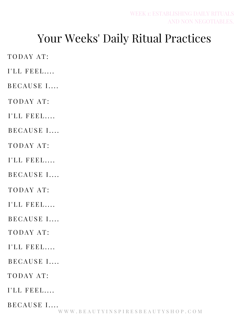#### Your Weeks' Daily Ritual Practices

TODAY AT:

I'LL FEEL....

BECAUSE I....

TODAY AT:

I'LL FEEL....

BECAUSE I....

TODAY AT:

I'LL FEEL....

BECAUSE I....

TODAY AT:

 $I'LL$  FEEL....

BECAUSE I....

TODAY AT:

 $I'LL$  FEEL....

BECAUSE I....

TODAY AT:

I'LL FEEL....

BECAUSE I....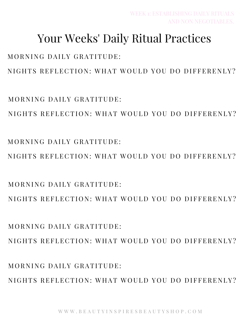MORNING DAILY GRATITUDE: NIGHTS REFLECTION: WHAT WOULD YOU DO DIFFERENLY?

 $MORNING$  DAILY GRATITUDE. NIGHTS REFLECTION: WHAT WOULD YOU DO DIFFERENLY?

MORNING DAILY GRATITUDE: NIGHTS REFLECTION: WHAT WOULD YOU DO DIFFERENLY?

NIGHTS REFLECTION: WHAT WOULD YOU DO DIFFERENLY?

NIGHTS REFLECTION: WHAT WOULD YOU DO DIFFERENLY?

#### MORNING DAILY GRATITUDE:

 $MORNING$  DAILY GRATITUDE.

MORNING DAILY GRATITUDE:

NIGHTS REFLECTION: WHAT WOULD YOU DO DIFFERENLY?

#### Your Weeks' Daily Ritual Practices

WEEK 1: ESTABLISHING DAILY RITUALS

AND NON NEGOTIABLES.